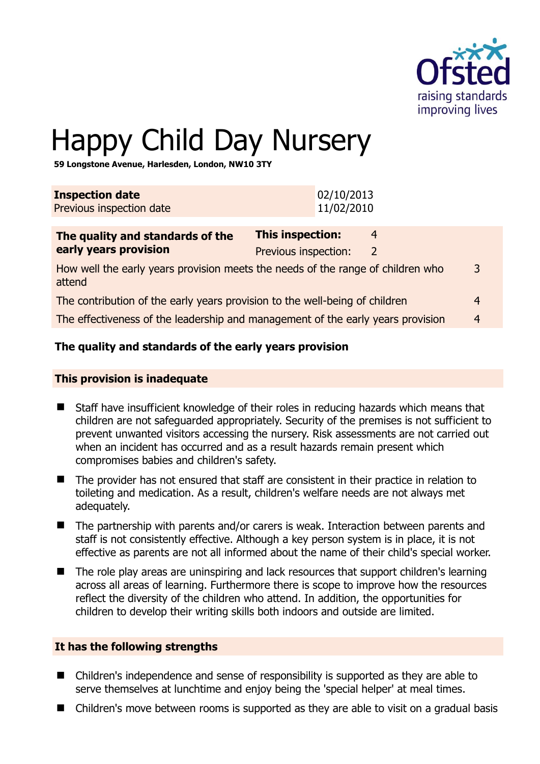

3

# Happy Child Day Nursery

**59 Longstone Avenue, Harlesden, London, NW10 3TY** 

| <b>Inspection date</b><br>Previous inspection date                                        | 02/10/2013<br>11/02/2010                 |                     |                |
|-------------------------------------------------------------------------------------------|------------------------------------------|---------------------|----------------|
| The quality and standards of the<br>early years provision                                 | This inspection:<br>Previous inspection: | 4<br>$\overline{2}$ |                |
| How well the early years provision meets the needs of the range of children who<br>attend |                                          |                     | 3              |
| The contribution of the early years provision to the well-being of children               |                                          |                     | $\overline{4}$ |
| The effectiveness of the leadership and management of the early years provision           |                                          |                     | $\overline{4}$ |

# **The quality and standards of the early years provision**

#### **This provision is inadequate**

- Staff have insufficient knowledge of their roles in reducing hazards which means that children are not safeguarded appropriately. Security of the premises is not sufficient to prevent unwanted visitors accessing the nursery. Risk assessments are not carried out when an incident has occurred and as a result hazards remain present which compromises babies and children's safety.
- The provider has not ensured that staff are consistent in their practice in relation to toileting and medication. As a result, children's welfare needs are not always met adequately.
- The partnership with parents and/or carers is weak. Interaction between parents and staff is not consistently effective. Although a key person system is in place, it is not effective as parents are not all informed about the name of their child's special worker.
- The role play areas are uninspiring and lack resources that support children's learning across all areas of learning. Furthermore there is scope to improve how the resources reflect the diversity of the children who attend. In addition, the opportunities for children to develop their writing skills both indoors and outside are limited.

#### **It has the following strengths**

- Children's independence and sense of responsibility is supported as they are able to serve themselves at lunchtime and enjoy being the 'special helper' at meal times.
- Children's move between rooms is supported as they are able to visit on a gradual basis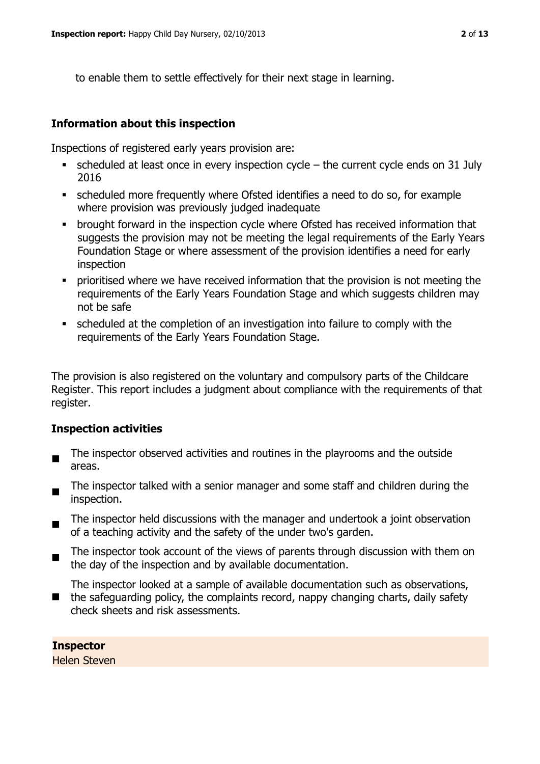to enable them to settle effectively for their next stage in learning.

### **Information about this inspection**

Inspections of registered early years provision are:

- scheduled at least once in every inspection cycle  $-$  the current cycle ends on 31 July 2016
- scheduled more frequently where Ofsted identifies a need to do so, for example where provision was previously judged inadequate
- brought forward in the inspection cycle where Ofsted has received information that suggests the provision may not be meeting the legal requirements of the Early Years Foundation Stage or where assessment of the provision identifies a need for early inspection
- **•** prioritised where we have received information that the provision is not meeting the requirements of the Early Years Foundation Stage and which suggests children may not be safe
- scheduled at the completion of an investigation into failure to comply with the requirements of the Early Years Foundation Stage.

The provision is also registered on the voluntary and compulsory parts of the Childcare Register. This report includes a judgment about compliance with the requirements of that register.

#### **Inspection activities**

- The inspector observed activities and routines in the playrooms and the outside areas.
- The inspector talked with a senior manager and some staff and children during the inspection.
- $\blacksquare$ The inspector held discussions with the manager and undertook a joint observation of a teaching activity and the safety of the under two's garden.
- The inspector took account of the views of parents through discussion with them on the day of the inspection and by available documentation.

■ the safeguarding policy, the complaints record, nappy changing charts, daily safety The inspector looked at a sample of available documentation such as observations, check sheets and risk assessments.

#### **Inspector**

Helen Steven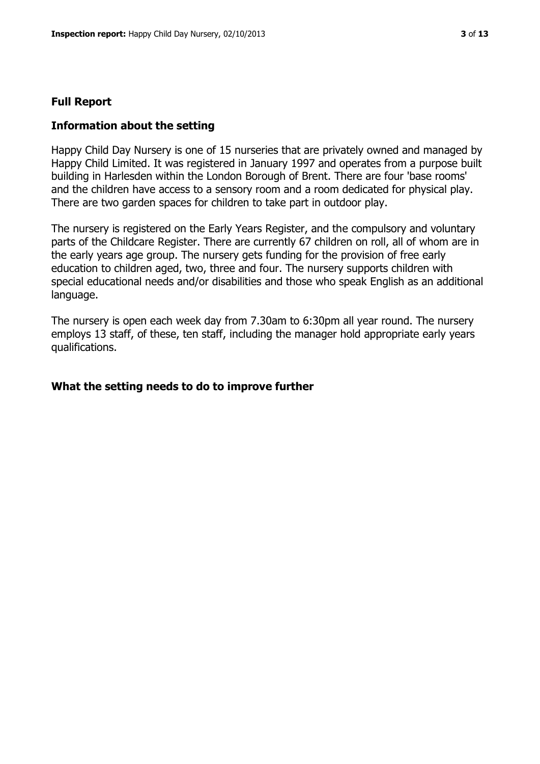#### **Full Report**

#### **Information about the setting**

Happy Child Day Nursery is one of 15 nurseries that are privately owned and managed by Happy Child Limited. It was registered in January 1997 and operates from a purpose built building in Harlesden within the London Borough of Brent. There are four 'base rooms' and the children have access to a sensory room and a room dedicated for physical play. There are two garden spaces for children to take part in outdoor play.

The nursery is registered on the Early Years Register, and the compulsory and voluntary parts of the Childcare Register. There are currently 67 children on roll, all of whom are in the early years age group. The nursery gets funding for the provision of free early education to children aged, two, three and four. The nursery supports children with special educational needs and/or disabilities and those who speak English as an additional language.

The nursery is open each week day from 7.30am to 6:30pm all year round. The nursery employs 13 staff, of these, ten staff, including the manager hold appropriate early years qualifications.

#### **What the setting needs to do to improve further**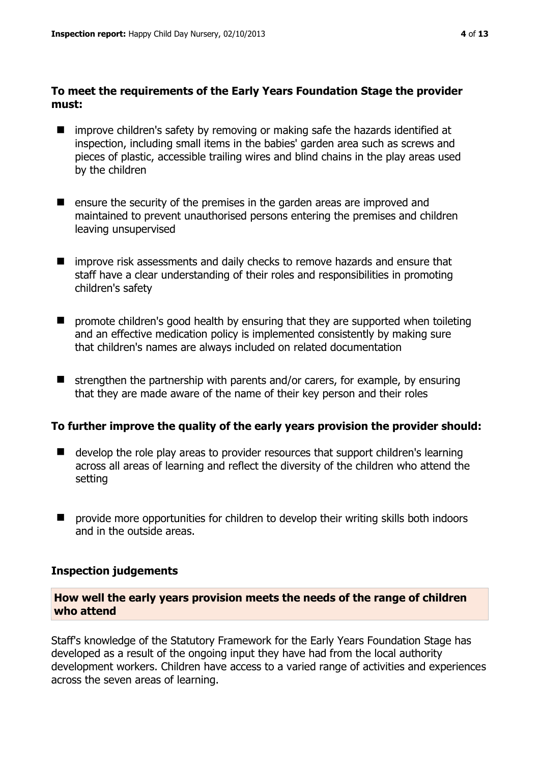## **To meet the requirements of the Early Years Foundation Stage the provider must:**

- improve children's safety by removing or making safe the hazards identified at inspection, including small items in the babies' garden area such as screws and pieces of plastic, accessible trailing wires and blind chains in the play areas used by the children
- $\blacksquare$  ensure the security of the premises in the garden areas are improved and maintained to prevent unauthorised persons entering the premises and children leaving unsupervised
- **I** improve risk assessments and daily checks to remove hazards and ensure that staff have a clear understanding of their roles and responsibilities in promoting children's safety
- **n** promote children's good health by ensuring that they are supported when toileting and an effective medication policy is implemented consistently by making sure that children's names are always included on related documentation
- $\blacksquare$  strengthen the partnership with parents and/or carers, for example, by ensuring that they are made aware of the name of their key person and their roles

# **To further improve the quality of the early years provision the provider should:**

- $\blacksquare$  develop the role play areas to provider resources that support children's learning across all areas of learning and reflect the diversity of the children who attend the setting
- provide more opportunities for children to develop their writing skills both indoors and in the outside areas.

# **Inspection judgements**

### **How well the early years provision meets the needs of the range of children who attend**

Staff's knowledge of the Statutory Framework for the Early Years Foundation Stage has developed as a result of the ongoing input they have had from the local authority development workers. Children have access to a varied range of activities and experiences across the seven areas of learning.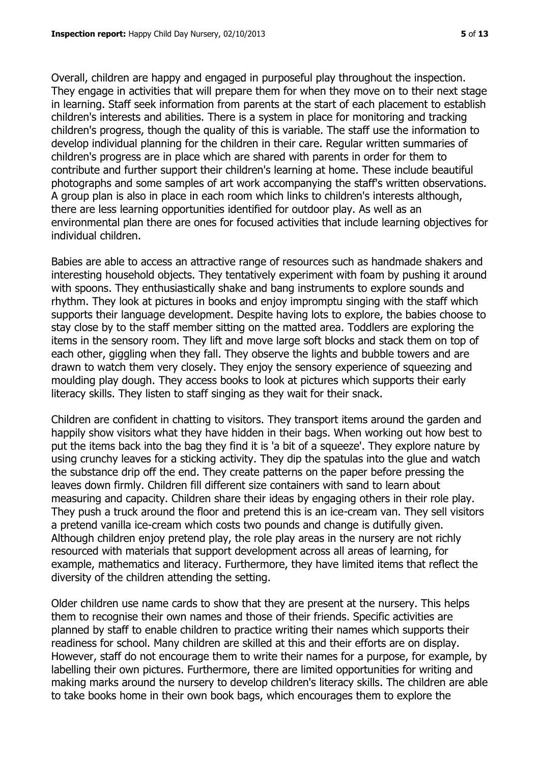Overall, children are happy and engaged in purposeful play throughout the inspection. They engage in activities that will prepare them for when they move on to their next stage in learning. Staff seek information from parents at the start of each placement to establish children's interests and abilities. There is a system in place for monitoring and tracking children's progress, though the quality of this is variable. The staff use the information to develop individual planning for the children in their care. Regular written summaries of children's progress are in place which are shared with parents in order for them to contribute and further support their children's learning at home. These include beautiful photographs and some samples of art work accompanying the staff's written observations. A group plan is also in place in each room which links to children's interests although, there are less learning opportunities identified for outdoor play. As well as an environmental plan there are ones for focused activities that include learning objectives for individual children.

Babies are able to access an attractive range of resources such as handmade shakers and interesting household objects. They tentatively experiment with foam by pushing it around with spoons. They enthusiastically shake and bang instruments to explore sounds and rhythm. They look at pictures in books and enjoy impromptu singing with the staff which supports their language development. Despite having lots to explore, the babies choose to stay close by to the staff member sitting on the matted area. Toddlers are exploring the items in the sensory room. They lift and move large soft blocks and stack them on top of each other, giggling when they fall. They observe the lights and bubble towers and are drawn to watch them very closely. They enjoy the sensory experience of squeezing and moulding play dough. They access books to look at pictures which supports their early literacy skills. They listen to staff singing as they wait for their snack.

Children are confident in chatting to visitors. They transport items around the garden and happily show visitors what they have hidden in their bags. When working out how best to put the items back into the bag they find it is 'a bit of a squeeze'. They explore nature by using crunchy leaves for a sticking activity. They dip the spatulas into the glue and watch the substance drip off the end. They create patterns on the paper before pressing the leaves down firmly. Children fill different size containers with sand to learn about measuring and capacity. Children share their ideas by engaging others in their role play. They push a truck around the floor and pretend this is an ice-cream van. They sell visitors a pretend vanilla ice-cream which costs two pounds and change is dutifully given. Although children enjoy pretend play, the role play areas in the nursery are not richly resourced with materials that support development across all areas of learning, for example, mathematics and literacy. Furthermore, they have limited items that reflect the diversity of the children attending the setting.

Older children use name cards to show that they are present at the nursery. This helps them to recognise their own names and those of their friends. Specific activities are planned by staff to enable children to practice writing their names which supports their readiness for school. Many children are skilled at this and their efforts are on display. However, staff do not encourage them to write their names for a purpose, for example, by labelling their own pictures. Furthermore, there are limited opportunities for writing and making marks around the nursery to develop children's literacy skills. The children are able to take books home in their own book bags, which encourages them to explore the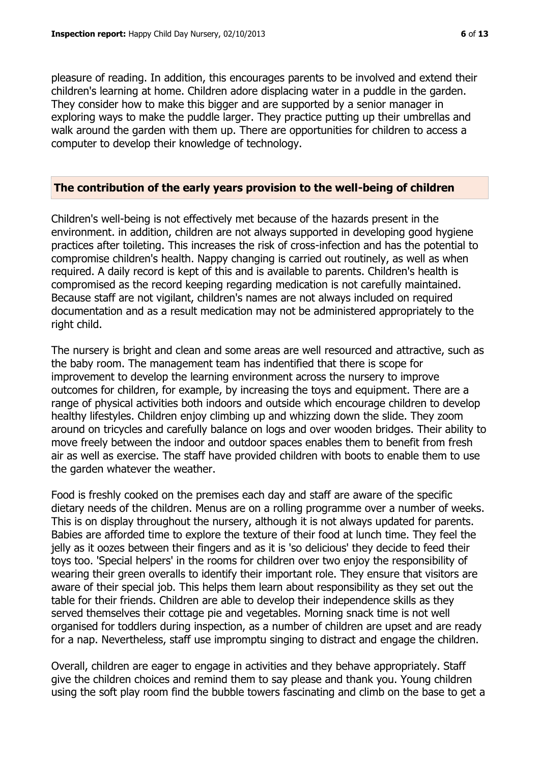pleasure of reading. In addition, this encourages parents to be involved and extend their children's learning at home. Children adore displacing water in a puddle in the garden. They consider how to make this bigger and are supported by a senior manager in exploring ways to make the puddle larger. They practice putting up their umbrellas and walk around the garden with them up. There are opportunities for children to access a computer to develop their knowledge of technology.

#### **The contribution of the early years provision to the well-being of children**

Children's well-being is not effectively met because of the hazards present in the environment. in addition, children are not always supported in developing good hygiene practices after toileting. This increases the risk of cross-infection and has the potential to compromise children's health. Nappy changing is carried out routinely, as well as when required. A daily record is kept of this and is available to parents. Children's health is compromised as the record keeping regarding medication is not carefully maintained. Because staff are not vigilant, children's names are not always included on required documentation and as a result medication may not be administered appropriately to the right child.

The nursery is bright and clean and some areas are well resourced and attractive, such as the baby room. The management team has indentified that there is scope for improvement to develop the learning environment across the nursery to improve outcomes for children, for example, by increasing the toys and equipment. There are a range of physical activities both indoors and outside which encourage children to develop healthy lifestyles. Children enjoy climbing up and whizzing down the slide. They zoom around on tricycles and carefully balance on logs and over wooden bridges. Their ability to move freely between the indoor and outdoor spaces enables them to benefit from fresh air as well as exercise. The staff have provided children with boots to enable them to use the garden whatever the weather.

Food is freshly cooked on the premises each day and staff are aware of the specific dietary needs of the children. Menus are on a rolling programme over a number of weeks. This is on display throughout the nursery, although it is not always updated for parents. Babies are afforded time to explore the texture of their food at lunch time. They feel the jelly as it oozes between their fingers and as it is 'so delicious' they decide to feed their toys too. 'Special helpers' in the rooms for children over two enjoy the responsibility of wearing their green overalls to identify their important role. They ensure that visitors are aware of their special job. This helps them learn about responsibility as they set out the table for their friends. Children are able to develop their independence skills as they served themselves their cottage pie and vegetables. Morning snack time is not well organised for toddlers during inspection, as a number of children are upset and are ready for a nap. Nevertheless, staff use impromptu singing to distract and engage the children.

Overall, children are eager to engage in activities and they behave appropriately. Staff give the children choices and remind them to say please and thank you. Young children using the soft play room find the bubble towers fascinating and climb on the base to get a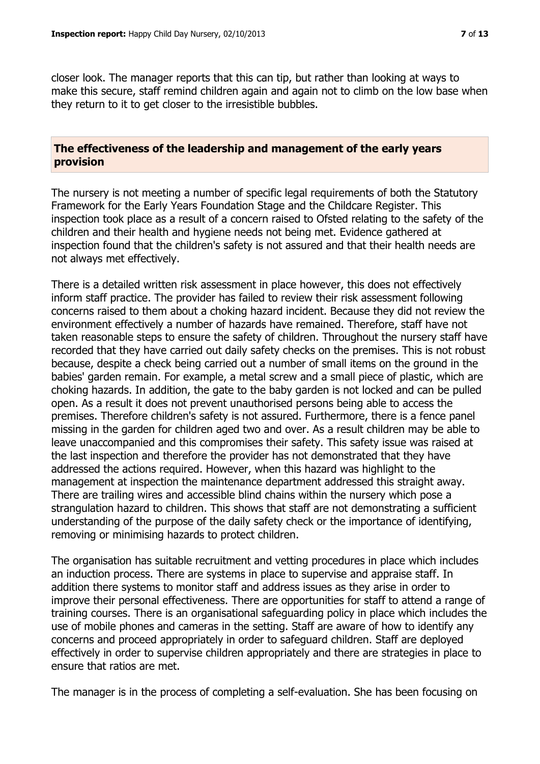closer look. The manager reports that this can tip, but rather than looking at ways to make this secure, staff remind children again and again not to climb on the low base when they return to it to get closer to the irresistible bubbles.

#### **The effectiveness of the leadership and management of the early years provision**

The nursery is not meeting a number of specific legal requirements of both the Statutory Framework for the Early Years Foundation Stage and the Childcare Register. This inspection took place as a result of a concern raised to Ofsted relating to the safety of the children and their health and hygiene needs not being met. Evidence gathered at inspection found that the children's safety is not assured and that their health needs are not always met effectively.

There is a detailed written risk assessment in place however, this does not effectively inform staff practice. The provider has failed to review their risk assessment following concerns raised to them about a choking hazard incident. Because they did not review the environment effectively a number of hazards have remained. Therefore, staff have not taken reasonable steps to ensure the safety of children. Throughout the nursery staff have recorded that they have carried out daily safety checks on the premises. This is not robust because, despite a check being carried out a number of small items on the ground in the babies' garden remain. For example, a metal screw and a small piece of plastic, which are choking hazards. In addition, the gate to the baby garden is not locked and can be pulled open. As a result it does not prevent unauthorised persons being able to access the premises. Therefore children's safety is not assured. Furthermore, there is a fence panel missing in the garden for children aged two and over. As a result children may be able to leave unaccompanied and this compromises their safety. This safety issue was raised at the last inspection and therefore the provider has not demonstrated that they have addressed the actions required. However, when this hazard was highlight to the management at inspection the maintenance department addressed this straight away. There are trailing wires and accessible blind chains within the nursery which pose a strangulation hazard to children. This shows that staff are not demonstrating a sufficient understanding of the purpose of the daily safety check or the importance of identifying, removing or minimising hazards to protect children.

The organisation has suitable recruitment and vetting procedures in place which includes an induction process. There are systems in place to supervise and appraise staff. In addition there systems to monitor staff and address issues as they arise in order to improve their personal effectiveness. There are opportunities for staff to attend a range of training courses. There is an organisational safeguarding policy in place which includes the use of mobile phones and cameras in the setting. Staff are aware of how to identify any concerns and proceed appropriately in order to safeguard children. Staff are deployed effectively in order to supervise children appropriately and there are strategies in place to ensure that ratios are met.

The manager is in the process of completing a self-evaluation. She has been focusing on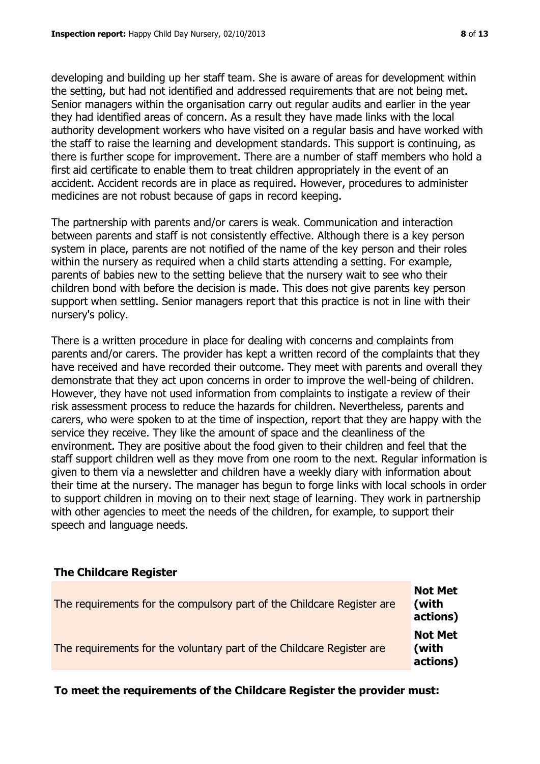developing and building up her staff team. She is aware of areas for development within the setting, but had not identified and addressed requirements that are not being met. Senior managers within the organisation carry out regular audits and earlier in the year they had identified areas of concern. As a result they have made links with the local authority development workers who have visited on a regular basis and have worked with the staff to raise the learning and development standards. This support is continuing, as there is further scope for improvement. There are a number of staff members who hold a first aid certificate to enable them to treat children appropriately in the event of an accident. Accident records are in place as required. However, procedures to administer medicines are not robust because of gaps in record keeping.

The partnership with parents and/or carers is weak. Communication and interaction between parents and staff is not consistently effective. Although there is a key person system in place, parents are not notified of the name of the key person and their roles within the nursery as required when a child starts attending a setting. For example, parents of babies new to the setting believe that the nursery wait to see who their children bond with before the decision is made. This does not give parents key person support when settling. Senior managers report that this practice is not in line with their nursery's policy.

There is a written procedure in place for dealing with concerns and complaints from parents and/or carers. The provider has kept a written record of the complaints that they have received and have recorded their outcome. They meet with parents and overall they demonstrate that they act upon concerns in order to improve the well-being of children. However, they have not used information from complaints to instigate a review of their risk assessment process to reduce the hazards for children. Nevertheless, parents and carers, who were spoken to at the time of inspection, report that they are happy with the service they receive. They like the amount of space and the cleanliness of the environment. They are positive about the food given to their children and feel that the staff support children well as they move from one room to the next. Regular information is given to them via a newsletter and children have a weekly diary with information about their time at the nursery. The manager has begun to forge links with local schools in order to support children in moving on to their next stage of learning. They work in partnership with other agencies to meet the needs of the children, for example, to support their speech and language needs.

# **The Childcare Register**

| The requirements for the compulsory part of the Childcare Register are | <b>Not Met</b><br>(with<br>actions) |
|------------------------------------------------------------------------|-------------------------------------|
| The requirements for the voluntary part of the Childcare Register are  | <b>Not Met</b><br>(with<br>actions) |

**To meet the requirements of the Childcare Register the provider must:**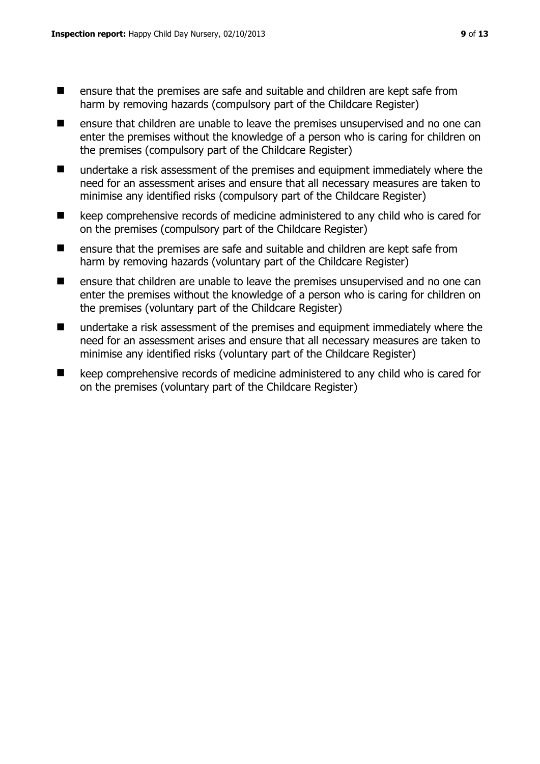- ensure that the premises are safe and suitable and children are kept safe from harm by removing hazards (compulsory part of the Childcare Register)
- $\blacksquare$  ensure that children are unable to leave the premises unsupervised and no one can enter the premises without the knowledge of a person who is caring for children on the premises (compulsory part of the Childcare Register)
- undertake a risk assessment of the premises and equipment immediately where the need for an assessment arises and ensure that all necessary measures are taken to minimise any identified risks (compulsory part of the Childcare Register)
- keep comprehensive records of medicine administered to any child who is cared for on the premises (compulsory part of the Childcare Register)
- $\blacksquare$  ensure that the premises are safe and suitable and children are kept safe from harm by removing hazards (voluntary part of the Childcare Register)
- **E** ensure that children are unable to leave the premises unsupervised and no one can enter the premises without the knowledge of a person who is caring for children on the premises (voluntary part of the Childcare Register)
- undertake a risk assessment of the premises and equipment immediately where the need for an assessment arises and ensure that all necessary measures are taken to minimise any identified risks (voluntary part of the Childcare Register)
- keep comprehensive records of medicine administered to any child who is cared for on the premises (voluntary part of the Childcare Register)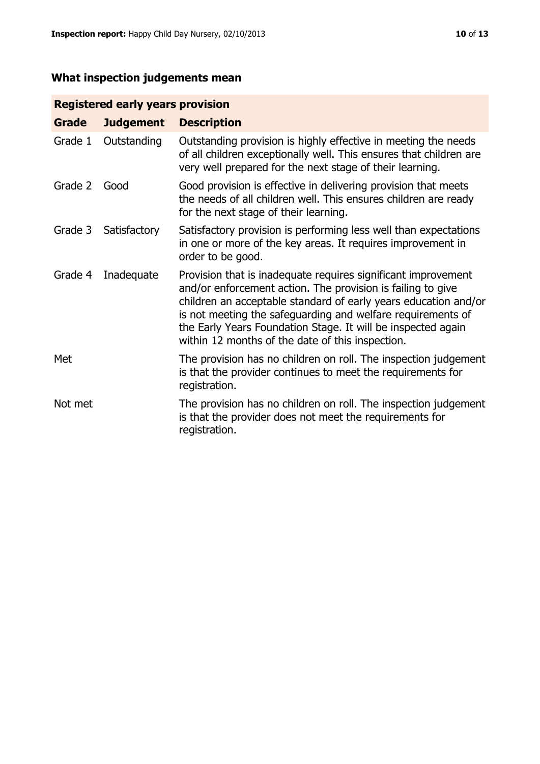# **What inspection judgements mean**

# **Registered early years provision**

| Grade   | <b>Judgement</b> | <b>Description</b>                                                                                                                                                                                                                                                                                                                                                                 |
|---------|------------------|------------------------------------------------------------------------------------------------------------------------------------------------------------------------------------------------------------------------------------------------------------------------------------------------------------------------------------------------------------------------------------|
| Grade 1 | Outstanding      | Outstanding provision is highly effective in meeting the needs<br>of all children exceptionally well. This ensures that children are<br>very well prepared for the next stage of their learning.                                                                                                                                                                                   |
| Grade 2 | Good             | Good provision is effective in delivering provision that meets<br>the needs of all children well. This ensures children are ready<br>for the next stage of their learning.                                                                                                                                                                                                         |
| Grade 3 | Satisfactory     | Satisfactory provision is performing less well than expectations<br>in one or more of the key areas. It requires improvement in<br>order to be good.                                                                                                                                                                                                                               |
| Grade 4 | Inadequate       | Provision that is inadequate requires significant improvement<br>and/or enforcement action. The provision is failing to give<br>children an acceptable standard of early years education and/or<br>is not meeting the safeguarding and welfare requirements of<br>the Early Years Foundation Stage. It will be inspected again<br>within 12 months of the date of this inspection. |
| Met     |                  | The provision has no children on roll. The inspection judgement<br>is that the provider continues to meet the requirements for<br>registration.                                                                                                                                                                                                                                    |
| Not met |                  | The provision has no children on roll. The inspection judgement<br>is that the provider does not meet the requirements for<br>registration.                                                                                                                                                                                                                                        |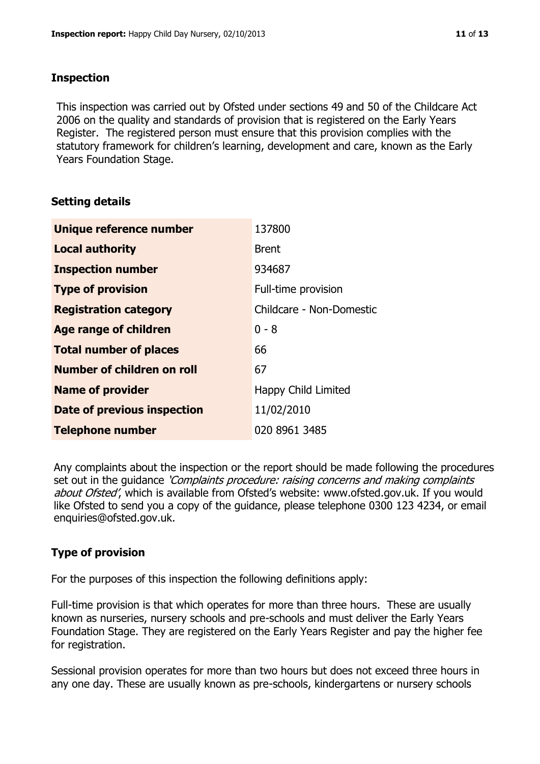### **Inspection**

This inspection was carried out by Ofsted under sections 49 and 50 of the Childcare Act 2006 on the quality and standards of provision that is registered on the Early Years Register. The registered person must ensure that this provision complies with the statutory framework for children's learning, development and care, known as the Early Years Foundation Stage.

# **Setting details**

| Unique reference number       | 137800                   |
|-------------------------------|--------------------------|
| <b>Local authority</b>        | <b>Brent</b>             |
| <b>Inspection number</b>      | 934687                   |
| <b>Type of provision</b>      | Full-time provision      |
| <b>Registration category</b>  | Childcare - Non-Domestic |
| <b>Age range of children</b>  | $0 - 8$                  |
| <b>Total number of places</b> | 66                       |
| Number of children on roll    | 67                       |
| <b>Name of provider</b>       | Happy Child Limited      |
| Date of previous inspection   | 11/02/2010               |
| <b>Telephone number</b>       | 020 8961 3485            |

Any complaints about the inspection or the report should be made following the procedures set out in the guidance *'Complaints procedure: raising concerns and making complaints* about Ofsted', which is available from Ofsted's website: www.ofsted.gov.uk. If you would like Ofsted to send you a copy of the guidance, please telephone 0300 123 4234, or email enquiries@ofsted.gov.uk.

# **Type of provision**

For the purposes of this inspection the following definitions apply:

Full-time provision is that which operates for more than three hours. These are usually known as nurseries, nursery schools and pre-schools and must deliver the Early Years Foundation Stage. They are registered on the Early Years Register and pay the higher fee for registration.

Sessional provision operates for more than two hours but does not exceed three hours in any one day. These are usually known as pre-schools, kindergartens or nursery schools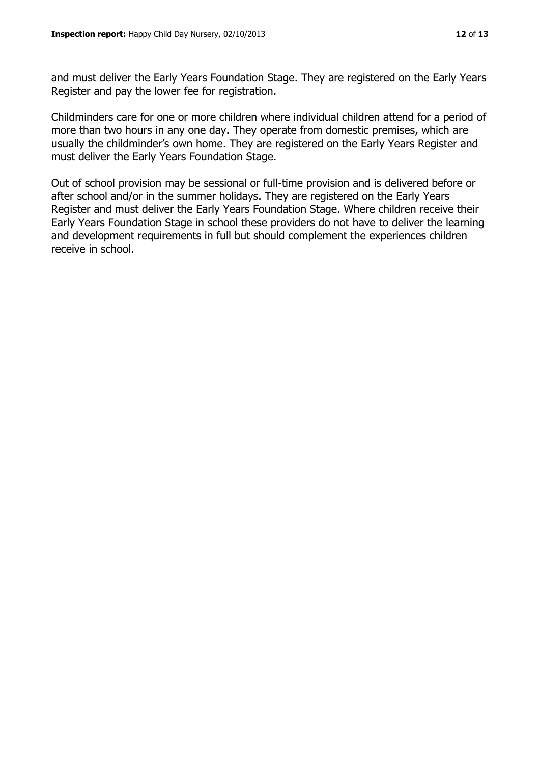and must deliver the Early Years Foundation Stage. They are registered on the Early Years Register and pay the lower fee for registration.

Childminders care for one or more children where individual children attend for a period of more than two hours in any one day. They operate from domestic premises, which are usually the childminder's own home. They are registered on the Early Years Register and must deliver the Early Years Foundation Stage.

Out of school provision may be sessional or full-time provision and is delivered before or after school and/or in the summer holidays. They are registered on the Early Years Register and must deliver the Early Years Foundation Stage. Where children receive their Early Years Foundation Stage in school these providers do not have to deliver the learning and development requirements in full but should complement the experiences children receive in school.